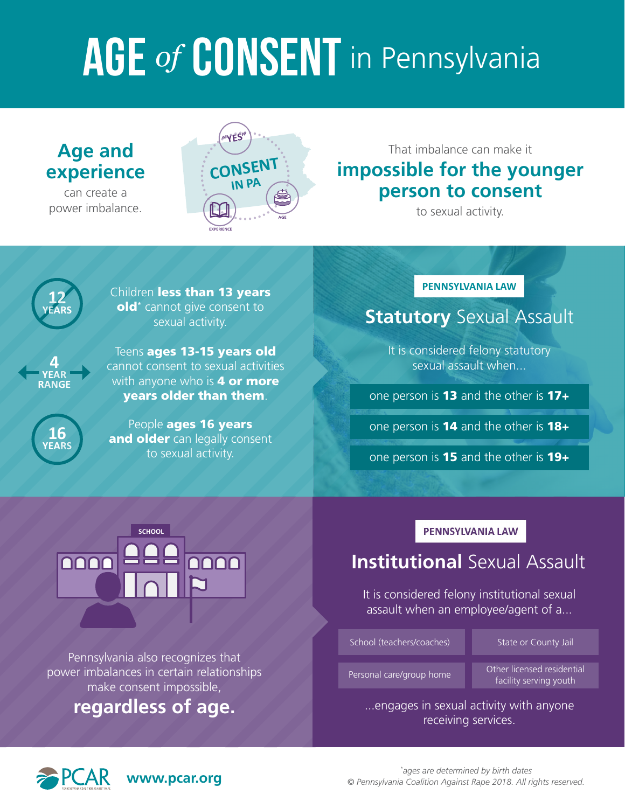# AGE of **CONSENT** in Pennsylvania

# **Age and experience**

can create a power imbalance.



 That imbalance can make it **impossible for the younger person to consent** 

to sexual activity.



Children less than 13 years old\* cannot give consent to sexual activity.



**16 YEARS** 

Teens **ages 13-15 years old** cannot consent to sexual activities with anyone who is **4 or more** years older than them.

People **ages 16 years** and older can legally consent to sexual activity.

# **PENNSYLVANIA LAW**

# **Statutory** Sexual Assault

It is considered felony statutory sexual assault when...

one person is **13** and the other is  $17+$ 

one person is 14 and the other is 18+

one person is **15** and the other is **19+** 



Pennsylvania also recognizes that power imbalances in certain relationships make consent impossible,

**regardless of age.** 

# **PENNSYLVANIA LAW**

# **Institutional** Sexual Assault

It is considered felony institutional sexual assault when an employee/agent of a...

School (teachers/coaches) State or County Jail

Personal care/group home Other licensed residential facility serving youth

...engages in sexual activity with anyone receiving services.



**www.pcar.org**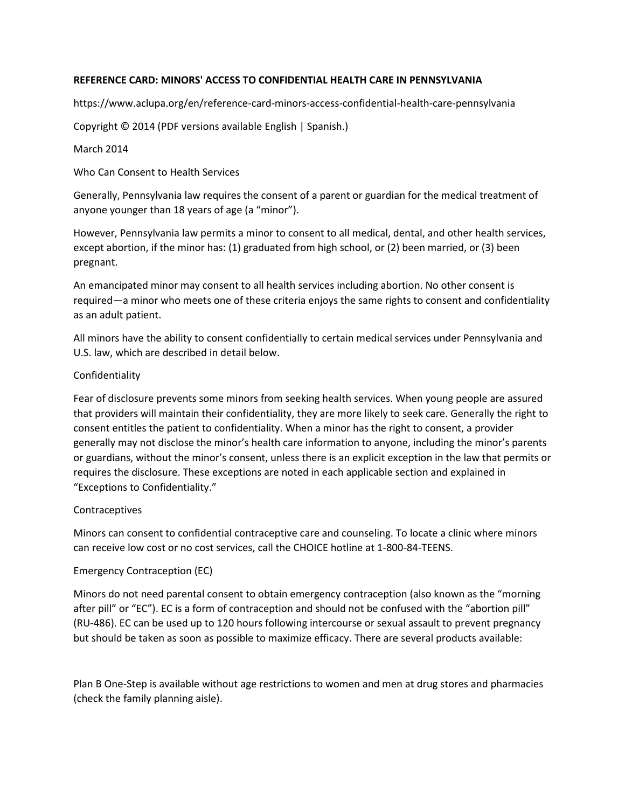# **REFERENCE CARD: MINORS' ACCESS TO CONFIDENTIAL HEALTH CARE IN PENNSYLVANIA**

https://www.aclupa.org/en/reference-card-minors-access-confidential-health-care-pennsylvania

Copyright © 2014 (PDF versions available English | Spanish.)

# March 2014

Who Can Consent to Health Services

Generally, Pennsylvania law requires the consent of a parent or guardian for the medical treatment of anyone younger than 18 years of age (a "minor").

However, Pennsylvania law permits a minor to consent to all medical, dental, and other health services, except abortion, if the minor has: (1) graduated from high school, or (2) been married, or (3) been pregnant.

An emancipated minor may consent to all health services including abortion. No other consent is required—a minor who meets one of these criteria enjoys the same rights to consent and confidentiality as an adult patient.

All minors have the ability to consent confidentially to certain medical services under Pennsylvania and U.S. law, which are described in detail below.

# Confidentiality

Fear of disclosure prevents some minors from seeking health services. When young people are assured that providers will maintain their confidentiality, they are more likely to seek care. Generally the right to consent entitles the patient to confidentiality. When a minor has the right to consent, a provider generally may not disclose the minor's health care information to anyone, including the minor's parents or guardians, without the minor's consent, unless there is an explicit exception in the law that permits or requires the disclosure. These exceptions are noted in each applicable section and explained in "Exceptions to Confidentiality."

# Contraceptives

Minors can consent to confidential contraceptive care and counseling. To locate a clinic where minors can receive low cost or no cost services, call the CHOICE hotline at 1-800-84-TEENS.

# Emergency Contraception (EC)

Minors do not need parental consent to obtain emergency contraception (also known as the "morning after pill" or "EC"). EC is a form of contraception and should not be confused with the "abortion pill" (RU-486). EC can be used up to 120 hours following intercourse or sexual assault to prevent pregnancy but should be taken as soon as possible to maximize efficacy. There are several products available:

Plan B One-Step is available without age restrictions to women and men at drug stores and pharmacies (check the family planning aisle).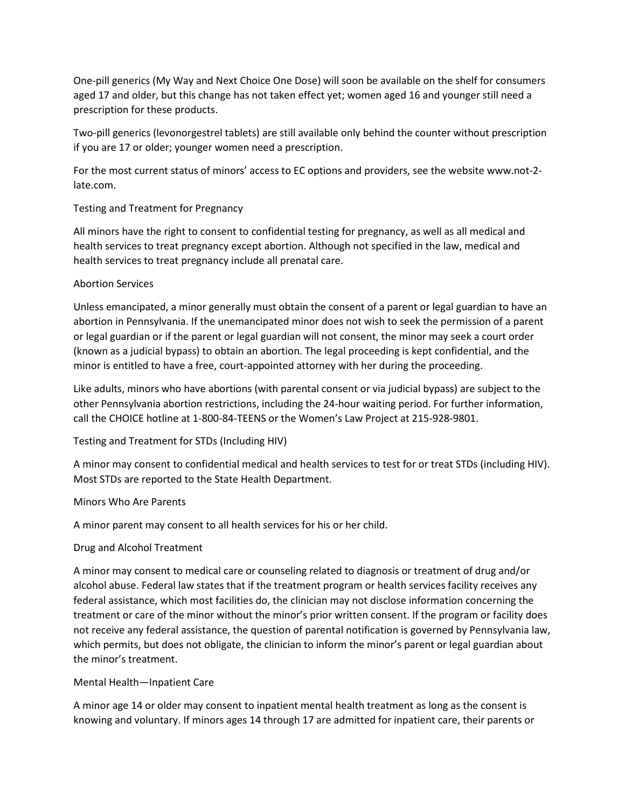One-pill generics (My Way and Next Choice One Dose) will soon be available on the shelf for consumers aged 17 and older, but this change has not taken effect yet; women aged 16 and younger still need a prescription for these products.

Two-pill generics (levonorgestrel tablets) are still available only behind the counter without prescription if you are 17 or older; younger women need a prescription.

For the most current status of minors' access to EC options and providers, see the website www.not-2 late.com.

# Testing and Treatment for Pregnancy

All minors have the right to consent to confidential testing for pregnancy, as well as all medical and health services to treat pregnancy except abortion. Although not specified in the law, medical and health services to treat pregnancy include all prenatal care.

# Abortion Services

Unless emancipated, a minor generally must obtain the consent of a parent or legal guardian to have an abortion in Pennsylvania. If the unemancipated minor does not wish to seek the permission of a parent or legal guardian or if the parent or legal guardian will not consent, the minor may seek a court order (known as a judicial bypass) to obtain an abortion. The legal proceeding is kept confidential, and the minor is entitled to have a free, court-appointed attorney with her during the proceeding.

Like adults, minors who have abortions (with parental consent or via judicial bypass) are subject to the other Pennsylvania abortion restrictions, including the 24-hour waiting period. For further information, call the CHOICE hotline at 1-800-84-TEENS or the Women's Law Project at 215-928-9801.

Testing and Treatment for STDs (Including HIV)

A minor may consent to confidential medical and health services to test for or treat STDs (including HIV). Most STDs are reported to the State Health Department.

# Minors Who Are Parents

A minor parent may consent to all health services for his or her child.

# Drug and Alcohol Treatment

A minor may consent to medical care or counseling related to diagnosis or treatment of drug and/or alcohol abuse. Federal law states that if the treatment program or health services facility receives any federal assistance, which most facilities do, the clinician may not disclose information concerning the treatment or care of the minor without the minor's prior written consent. If the program or facility does not receive any federal assistance, the question of parental notification is governed by Pennsylvania law, which permits, but does not obligate, the clinician to inform the minor's parent or legal guardian about the minor's treatment.

# Mental Health—Inpatient Care

A minor age 14 or older may consent to inpatient mental health treatment as long as the consent is knowing and voluntary. If minors ages 14 through 17 are admitted for inpatient care, their parents or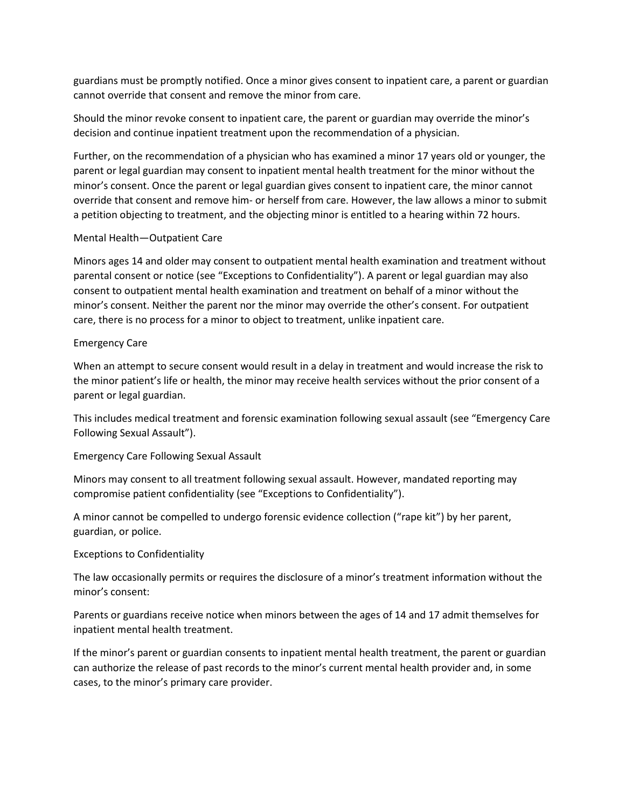guardians must be promptly notified. Once a minor gives consent to inpatient care, a parent or guardian cannot override that consent and remove the minor from care.

Should the minor revoke consent to inpatient care, the parent or guardian may override the minor's decision and continue inpatient treatment upon the recommendation of a physician.

Further, on the recommendation of a physician who has examined a minor 17 years old or younger, the parent or legal guardian may consent to inpatient mental health treatment for the minor without the minor's consent. Once the parent or legal guardian gives consent to inpatient care, the minor cannot override that consent and remove him- or herself from care. However, the law allows a minor to submit a petition objecting to treatment, and the objecting minor is entitled to a hearing within 72 hours.

# Mental Health—Outpatient Care

Minors ages 14 and older may consent to outpatient mental health examination and treatment without parental consent or notice (see "Exceptions to Confidentiality"). A parent or legal guardian may also consent to outpatient mental health examination and treatment on behalf of a minor without the minor's consent. Neither the parent nor the minor may override the other's consent. For outpatient care, there is no process for a minor to object to treatment, unlike inpatient care.

# Emergency Care

When an attempt to secure consent would result in a delay in treatment and would increase the risk to the minor patient's life or health, the minor may receive health services without the prior consent of a parent or legal guardian.

This includes medical treatment and forensic examination following sexual assault (see "Emergency Care Following Sexual Assault").

# Emergency Care Following Sexual Assault

Minors may consent to all treatment following sexual assault. However, mandated reporting may compromise patient confidentiality (see "Exceptions to Confidentiality").

A minor cannot be compelled to undergo forensic evidence collection ("rape kit") by her parent, guardian, or police.

# Exceptions to Confidentiality

The law occasionally permits or requires the disclosure of a minor's treatment information without the minor's consent:

Parents or guardians receive notice when minors between the ages of 14 and 17 admit themselves for inpatient mental health treatment.

If the minor's parent or guardian consents to inpatient mental health treatment, the parent or guardian can authorize the release of past records to the minor's current mental health provider and, in some cases, to the minor's primary care provider.